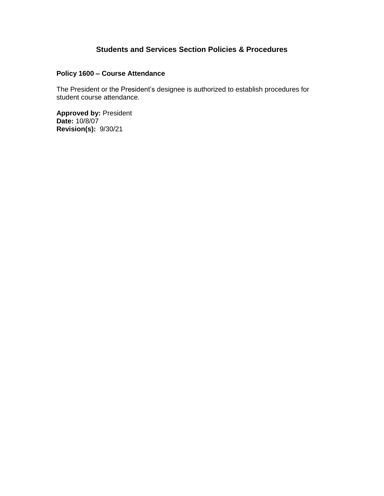# **Students and Services Section Policies & Procedures**

### **Policy 1600 – Course Attendance**

The President or the President's designee is authorized to establish procedures for student course attendance.

**Approved by:** President **Date:** 10/8/07 **Revision(s):** 9/30/21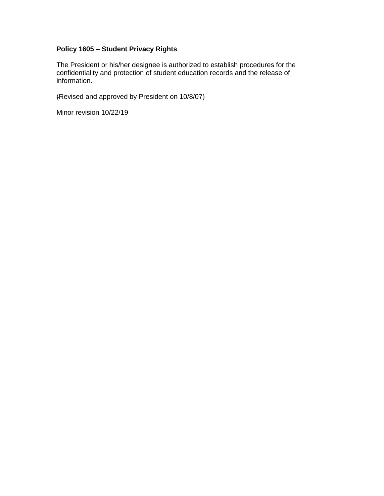#### **Policy 1605 – Student Privacy Rights**

The President or his/her designee is authorized to establish procedures for the confidentiality and protection of student education records and the release of information.

(Revised and approved by President on 10/8/07)

Minor revision 10/22/19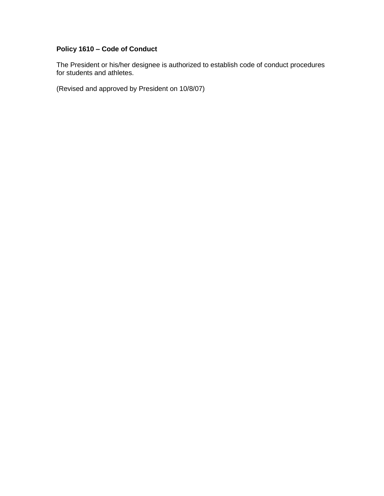## **Policy 1610 – Code of Conduct**

The President or his/her designee is authorized to establish code of conduct procedures for students and athletes.

(Revised and approved by President on 10/8/07)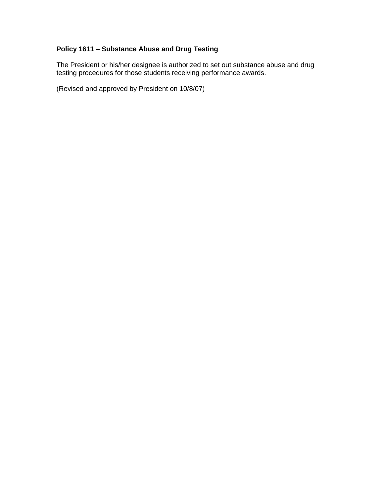#### **Policy 1611 – Substance Abuse and Drug Testing**

The President or his/her designee is authorized to set out substance abuse and drug testing procedures for those students receiving performance awards.

(Revised and approved by President on 10/8/07)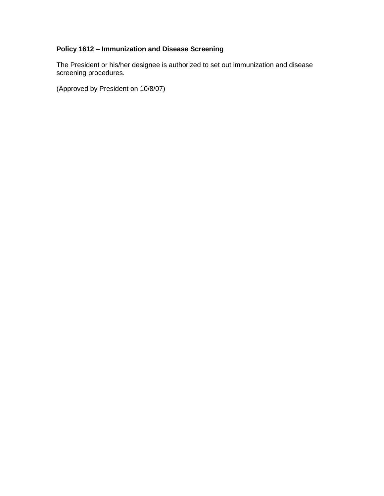#### **Policy 1612 – Immunization and Disease Screening**

The President or his/her designee is authorized to set out immunization and disease screening procedures.

(Approved by President on 10/8/07)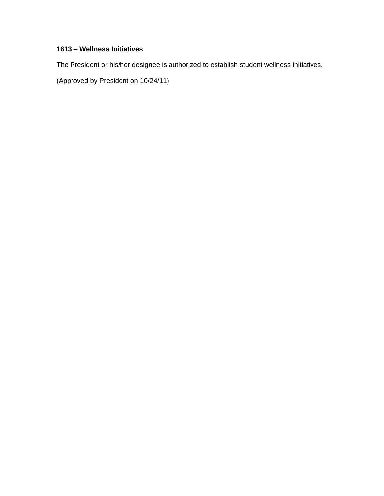### **1613 – Wellness Initiatives**

The President or his/her designee is authorized to establish student wellness initiatives.

(Approved by President on 10/24/11)